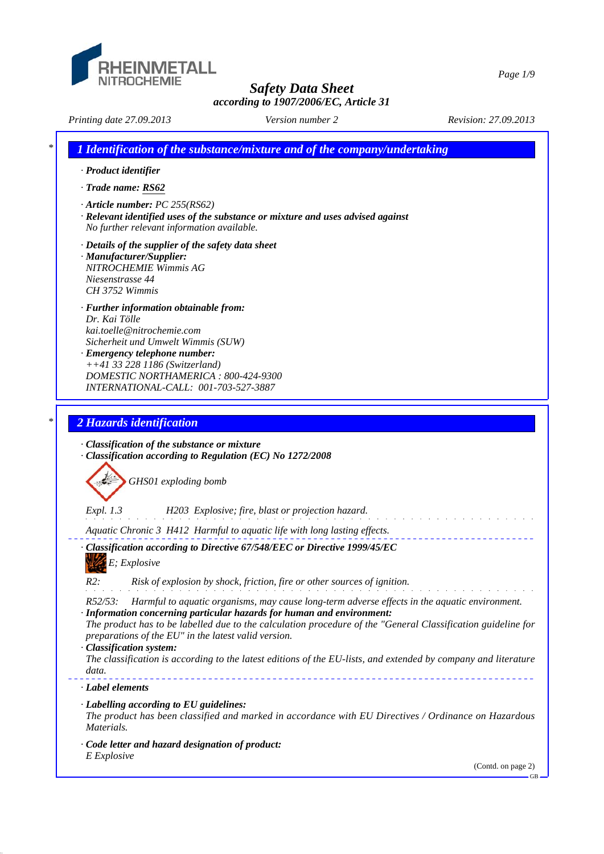

*Safety Data Sheet*

*Page 1/9*

|                                                                                                                                                                                                                                                                               | Version number 2                                                                                                                                                                                                                                                                        | according to 1907/2006/EC, Article 31 |
|-------------------------------------------------------------------------------------------------------------------------------------------------------------------------------------------------------------------------------------------------------------------------------|-----------------------------------------------------------------------------------------------------------------------------------------------------------------------------------------------------------------------------------------------------------------------------------------|---------------------------------------|
| Printing date 27.09.2013                                                                                                                                                                                                                                                      |                                                                                                                                                                                                                                                                                         | Revision: 27.09.2013                  |
| · Product identifier<br>· Trade name: RS62                                                                                                                                                                                                                                    | 1 Identification of the substance/mixture and of the company/undertaking                                                                                                                                                                                                                |                                       |
| $\cdot$ Article number: PC 255(RS62)<br>No further relevant information available.                                                                                                                                                                                            | · Relevant identified uses of the substance or mixture and uses advised against                                                                                                                                                                                                         |                                       |
| $\cdot$ Details of the supplier of the safety data sheet<br>· Manufacturer/Supplier:<br>NITROCHEMIE Wimmis AG<br>Niesenstrasse 44<br>CH 3752 Wimmis                                                                                                                           |                                                                                                                                                                                                                                                                                         |                                       |
| · Further information obtainable from:<br>Dr. Kai Tölle<br>kai.toelle@nitrochemie.com<br>Sicherheit und Umwelt Wimmis (SUW)<br>· Emergency telephone number:<br>++41 33 228 1186 (Switzerland)<br>DOMESTIC NORTHAMERICA: 800-424-9300<br>INTERNATIONAL-CALL: 001-703-527-3887 |                                                                                                                                                                                                                                                                                         |                                       |
| 2 Hazards identification                                                                                                                                                                                                                                                      |                                                                                                                                                                                                                                                                                         |                                       |
|                                                                                                                                                                                                                                                                               |                                                                                                                                                                                                                                                                                         |                                       |
| · Classification of the substance or mixture                                                                                                                                                                                                                                  | · Classification according to Regulation (EC) No 1272/2008                                                                                                                                                                                                                              |                                       |
| GHS01 exploding bomb                                                                                                                                                                                                                                                          |                                                                                                                                                                                                                                                                                         |                                       |
| <i>Expl.</i> 1.3                                                                                                                                                                                                                                                              | H203 Explosive; fire, blast or projection hazard.                                                                                                                                                                                                                                       |                                       |
|                                                                                                                                                                                                                                                                               | Aquatic Chronic 3 H412 Harmful to aquatic life with long lasting effects.                                                                                                                                                                                                               |                                       |
| E; Explosive                                                                                                                                                                                                                                                                  | · Classification according to Directive 67/548/EEC or Directive 1999/45/EC                                                                                                                                                                                                              |                                       |
| R2:                                                                                                                                                                                                                                                                           | Risk of explosion by shock, friction, fire or other sources of ignition.                                                                                                                                                                                                                |                                       |
| $R52/53$ :                                                                                                                                                                                                                                                                    | Harmful to aquatic organisms, may cause long-term adverse effects in the aquatic environment.<br>· Information concerning particular hazards for human and environment:<br>The product has to be labelled due to the calculation procedure of the "General Classification guideline for |                                       |
| preparations of the EU" in the latest valid version.<br>· Classification system:<br>data.                                                                                                                                                                                     | The classification is according to the latest editions of the EU-lists, and extended by company and literature                                                                                                                                                                          |                                       |
| · Label elements                                                                                                                                                                                                                                                              |                                                                                                                                                                                                                                                                                         |                                       |
| $\cdot$ Labelling according to EU guidelines:<br>Materials.                                                                                                                                                                                                                   | The product has been classified and marked in accordance with EU Directives / Ordinance on Hazardous                                                                                                                                                                                    |                                       |
| · Code letter and hazard designation of product:<br>E Explosive                                                                                                                                                                                                               |                                                                                                                                                                                                                                                                                         |                                       |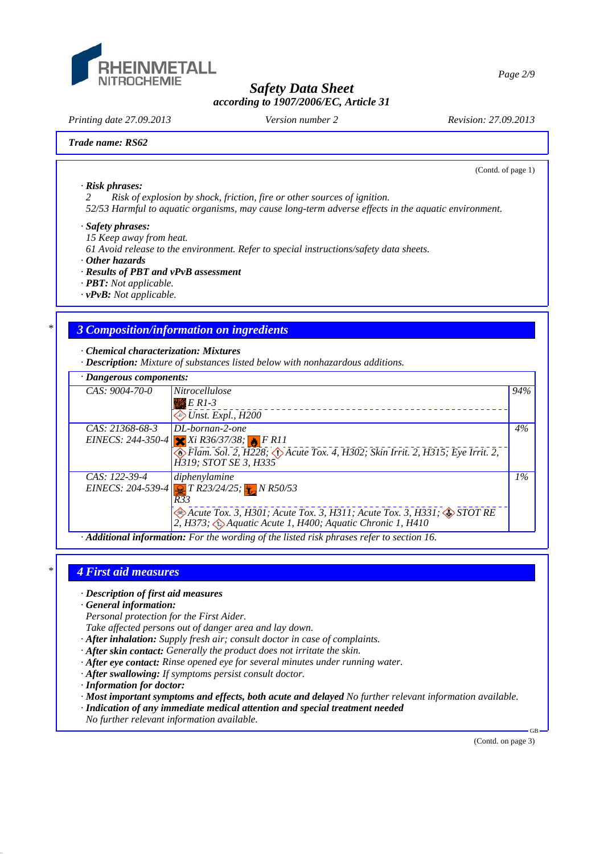

*Printing date 27.09.2013 Revision: 27.09.2013 Version number 2*

(Contd. of page 1)

#### *Trade name: RS62*

*· Risk phrases:*

*2 Risk of explosion by shock, friction, fire or other sources of ignition.*

*52/53 Harmful to aquatic organisms, may cause long-term adverse effects in the aquatic environment.*

#### *· Safety phrases:*

*15 Keep away from heat.*

*61 Avoid release to the environment. Refer to special instructions/safety data sheets.*

*· Other hazards*

- *· Results of PBT and vPvB assessment*
- *· PBT: Not applicable.*
- *· vPvB: Not applicable.*

## *\* 3 Composition/information on ingredients*

*· Chemical characterization: Mixtures*

*· Description: Mixture of substances listed below with nonhazardous additions.*

| $\cdot$ Dangerous components: |                                                                                                                                                                                                                                          |       |
|-------------------------------|------------------------------------------------------------------------------------------------------------------------------------------------------------------------------------------------------------------------------------------|-------|
| $CAS: 9004-70-0$              | <i>Nitrocellulose</i><br>$E$ R1-3<br>$\diamond$ Unst. Expl., H200                                                                                                                                                                        | 94%   |
| $CAS: 21368-68-3$             | $DL\text{-}bornan-2\text{-}one$<br>EINECS: 244-350-4 $Xi$ R36/37/38; FR11<br>Flam. Sol. 2, H228; $\Diamond$ Acute Tox. 4, H302; Skin Irrit. 2, H315; Eye Irrit. 2,<br>H319; STOT SE 3, H335                                              | 4%    |
| CAS: 122-39-4                 | diphenylamine<br>EINECS: 204-539-4 $\frac{1}{2}$ T R23/24/25; $\frac{1}{2}$ N R50/53<br>R33<br>Acute Tox. 3, H301; Acute Tox. 3, H311; Acute Tox. 3, H331; STOT RE<br>2, H373; $\bigcirc$ Aquatic Acute 1, H400; Aquatic Chronic 1, H410 | $1\%$ |

*· Additional information: For the wording of the listed risk phrases refer to section 16.*

#### *\* 4 First aid measures*

- *· Description of first aid measures*
- *· General information:*

*Personal protection for the First Aider.*

*Take affected persons out of danger area and lay down.*

- *· After inhalation: Supply fresh air; consult doctor in case of complaints.*
- *· After skin contact: Generally the product does not irritate the skin.*
- *· After eye contact: Rinse opened eye for several minutes under running water.*
- *· After swallowing: If symptoms persist consult doctor.*
- *· Information for doctor:*
- *· Most important symptoms and effects, both acute and delayed No further relevant information available.*
- *· Indication of any immediate medical attention and special treatment needed*
- *No further relevant information available.*

(Contd. on page 3)

.<sub>CD</sub>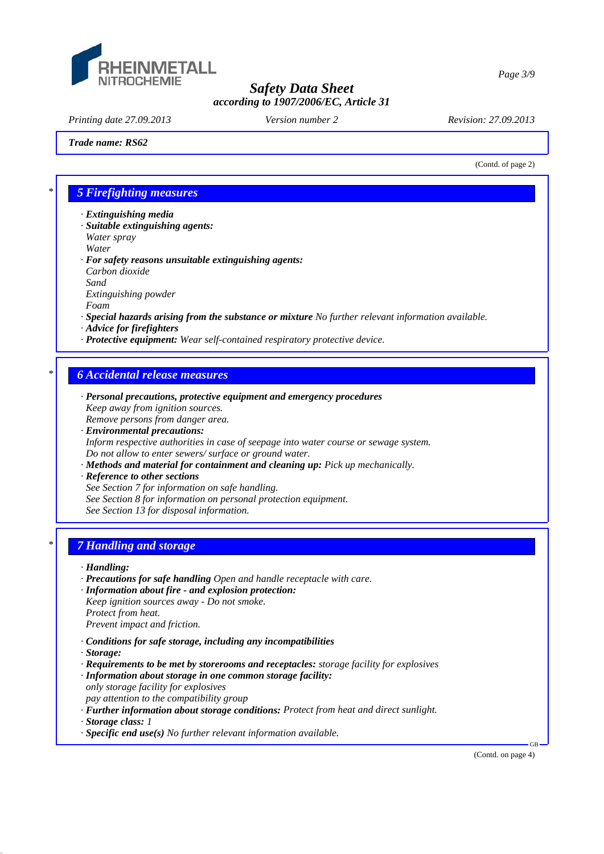

*Printing date 27.09.2013 Revision: 27.09.2013 Version number 2*

#### *Trade name: RS62*

(Contd. of page 2)

### *\* 5 Firefighting measures*

- *· Extinguishing media*
- *· Suitable extinguishing agents: Water spray Water*
- *· For safety reasons unsuitable extinguishing agents: Carbon dioxide Sand Extinguishing powder Foam*
- *· Special hazards arising from the substance or mixture No further relevant information available.*
- *· Advice for firefighters*
- *· Protective equipment: Wear self-contained respiratory protective device.*

# *\* 6 Accidental release measures*

- *· Personal precautions, protective equipment and emergency procedures Keep away from ignition sources. Remove persons from danger area.*
- *· Environmental precautions: Inform respective authorities in case of seepage into water course or sewage system. Do not allow to enter sewers/ surface or ground water.*
- *· Methods and material for containment and cleaning up: Pick up mechanically.*
- *· Reference to other sections*
- *See Section 7 for information on safe handling.*
- *See Section 8 for information on personal protection equipment.*
- *See Section 13 for disposal information.*

# *\* 7 Handling and storage*

#### *· Handling:*

- *· Precautions for safe handling Open and handle receptacle with care.*
- *· Information about fire and explosion protection: Keep ignition sources away - Do not smoke. Protect from heat. Prevent impact and friction.*
- *· Conditions for safe storage, including any incompatibilities*
- *· Storage:*
- *· Requirements to be met by storerooms and receptacles: storage facility for explosives · Information about storage in one common storage facility:*
- *only storage facility for explosives pay attention to the compatibility group*
- *· Further information about storage conditions: Protect from heat and direct sunlight.*
- *· Storage class: 1*
- *· Specific end use(s) No further relevant information available.*

(Contd. on page 4)

GB

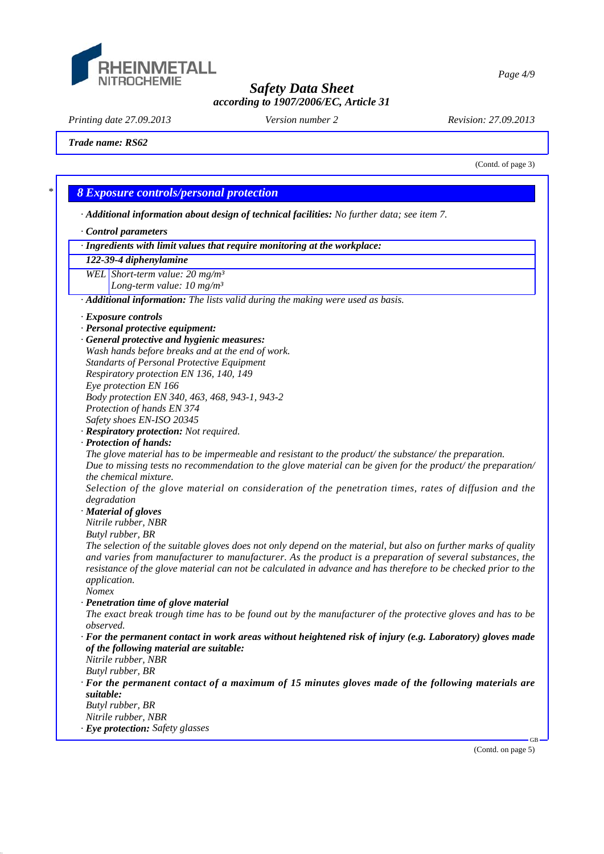

*Page 4/9*

*Safety Data Sheet according to 1907/2006/EC, Article 31*

*Printing date 27.09.2013 Revision: 27.09.2013 Version number 2*

#### *Trade name: RS62*

(Contd. of page 3)

## *\* 8 Exposure controls/personal protection*

*· Additional information about design of technical facilities: No further data; see item 7.*

- *· Control parameters*
- *· Ingredients with limit values that require monitoring at the workplace:*

#### *122-39-4 diphenylamine*

*WEL Short-term value: 20 mg/m³*

*Long-term value: 10 mg/m³*

*· Additional information: The lists valid during the making were used as basis.*

*· General protective and hygienic measures:*

- *Standarts of Personal Protective Equipment*
- *Respiratory protection EN 136, 140, 149*
- *Eye protection EN 166*
- *Body protection EN 340, 463, 468, 943-1, 943-2*
- *Protection of hands EN 374*
- *Safety shoes EN-ISO 20345*
- *· Respiratory protection: Not required.*
- *· Protection of hands:*

*The glove material has to be impermeable and resistant to the product/ the substance/ the preparation. Due to missing tests no recommendation to the glove material can be given for the product/ the preparation/ the chemical mixture.*

*Selection of the glove material on consideration of the penetration times, rates of diffusion and the degradation*

*· Material of gloves*

*Nitrile rubber, NBR*

*Butyl rubber, BR*

*The selection of the suitable gloves does not only depend on the material, but also on further marks of quality and varies from manufacturer to manufacturer. As the product is a preparation of several substances, the resistance of the glove material can not be calculated in advance and has therefore to be checked prior to the application.*

- *Nomex*
- *· Penetration time of glove material The exact break trough time has to be found out by the manufacturer of the protective gloves and has to be observed.*
- *· For the permanent contact in work areas without heightened risk of injury (e.g. Laboratory) gloves made of the following material are suitable:*
- *Nitrile rubber, NBR*
- *Butyl rubber, BR · For the permanent contact of a maximum of 15 minutes gloves made of the following materials are suitable:*
- *Butyl rubber, BR*
- *Nitrile rubber, NBR*
- *· Eye protection: Safety glasses*

(Contd. on page 5)

GB

*<sup>·</sup> Exposure controls*

*<sup>·</sup> Personal protective equipment:*

*Wash hands before breaks and at the end of work.*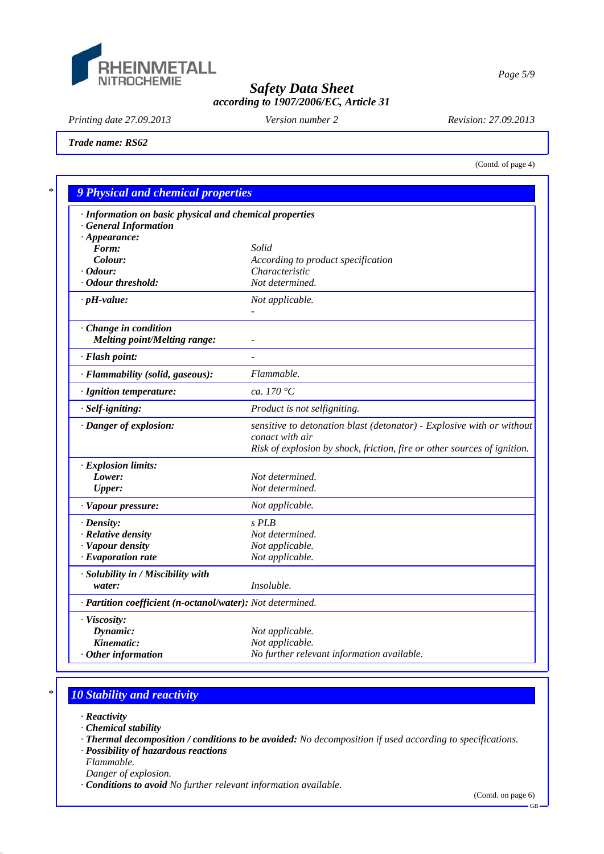

*Page 5/9*

# *Safety Data Sheet according to 1907/2006/EC, Article 31*

*Printing date 27.09.2013 Revision: 27.09.2013 Version number 2*

*Trade name: RS62*

(Contd. of page 4)

| · Information on basic physical and chemical properties<br><b>General Information</b> |                                                                                                                                                                      |
|---------------------------------------------------------------------------------------|----------------------------------------------------------------------------------------------------------------------------------------------------------------------|
| $\cdot$ Appearance:                                                                   |                                                                                                                                                                      |
| Form:                                                                                 | Solid                                                                                                                                                                |
| Colour:                                                                               | According to product specification                                                                                                                                   |
| $\cdot$ Odour:                                                                        | Characteristic                                                                                                                                                       |
| · Odour threshold:                                                                    | Not determined.                                                                                                                                                      |
| $\cdot$ pH-value:                                                                     | Not applicable.                                                                                                                                                      |
| Change in condition                                                                   |                                                                                                                                                                      |
| <b>Melting point/Melting range:</b>                                                   |                                                                                                                                                                      |
| · Flash point:                                                                        |                                                                                                                                                                      |
| · Flammability (solid, gaseous):                                                      | Flammable.                                                                                                                                                           |
| · Ignition temperature:                                                               | ca. 170 $\degree$ C                                                                                                                                                  |
| $\cdot$ Self-igniting:                                                                | Product is not selfigniting.                                                                                                                                         |
| · Danger of explosion:                                                                | sensitive to detonation blast (detonator) - Explosive with or without<br>conact with air<br>Risk of explosion by shock, friction, fire or other sources of ignition. |
| · Explosion limits:                                                                   |                                                                                                                                                                      |
| Lower:                                                                                | Not determined.                                                                                                                                                      |
| <b>Upper:</b>                                                                         | Not determined.                                                                                                                                                      |
| · Vapour pressure:                                                                    | Not applicable.                                                                                                                                                      |
| $\cdot$ Density:                                                                      | $S$ PLB                                                                                                                                                              |
| · Relative density                                                                    | Not determined.                                                                                                                                                      |
| · Vapour density                                                                      | Not applicable.                                                                                                                                                      |
| · Evaporation rate                                                                    | Not applicable.                                                                                                                                                      |
| · Solubility in / Miscibility with                                                    |                                                                                                                                                                      |
| water:                                                                                | Insoluble.                                                                                                                                                           |
| · Partition coefficient (n-octanol/water): Not determined.                            |                                                                                                                                                                      |
| · Viscosity:                                                                          |                                                                                                                                                                      |
| Dynamic:                                                                              | Not applicable.                                                                                                                                                      |
| Kinematic:                                                                            | Not applicable.                                                                                                                                                      |
| $\cdot$ Other information                                                             | No further relevant information available.                                                                                                                           |

# *\* 10 Stability and reactivity*

- *· Reactivity*
- *· Chemical stability*
- *· Thermal decomposition / conditions to be avoided: No decomposition if used according to specifications.*
- *· Possibility of hazardous reactions*
- *Flammable.*
- *Danger of explosion.*
- *· Conditions to avoid No further relevant information available.*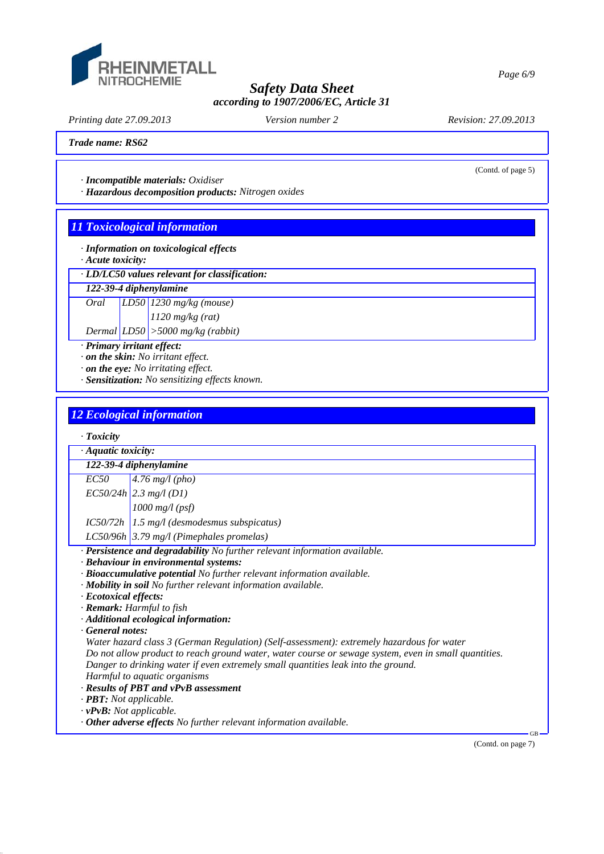

*Printing date 27.09.2013 Revision: 27.09.2013 Version number 2*

(Contd. of page 5)

#### *Trade name: RS62*

*· Incompatible materials: Oxidiser*

*· Hazardous decomposition products: Nitrogen oxides*

# *11 Toxicological information*

- *· Information on toxicological effects*
- *· Acute toxicity:*
- *· LD/LC50 values relevant for classification:*

## *122-39-4 diphenylamine*

*Oral LD50 1230 mg/kg (mouse) 1120 mg/kg (rat) Dermal LD50 >5000 mg/kg (rabbit)*

*· Primary irritant effect:*

*· on the skin: No irritant effect.*

*· on the eye: No irritating effect.*

*· Sensitization: No sensitizing effects known.*

# *12 Ecological information*

| $\cdot$ Toxicity                                                                                     |                                                                            |  |  |  |
|------------------------------------------------------------------------------------------------------|----------------------------------------------------------------------------|--|--|--|
| · Aquatic toxicity:<br>122-39-4 diphenylamine                                                        |                                                                            |  |  |  |
|                                                                                                      |                                                                            |  |  |  |
|                                                                                                      | $EC50/24h$ 2.3 mg/l (D1)                                                   |  |  |  |
|                                                                                                      | $1000$ mg/l (psf)                                                          |  |  |  |
| IC50/72h                                                                                             | $1.5$ mg/l (desmodesmus subspicatus)                                       |  |  |  |
|                                                                                                      | LC50/96h 3.79 mg/l (Pimephales promelas)                                   |  |  |  |
|                                                                                                      | · Persistence and degradability No further relevant information available. |  |  |  |
|                                                                                                      | · Behaviour in environmental systems:                                      |  |  |  |
|                                                                                                      | · Bioaccumulative potential No further relevant information available.     |  |  |  |
|                                                                                                      | · Mobility in soil No further relevant information available.              |  |  |  |
| · Ecotoxical effects:                                                                                |                                                                            |  |  |  |
|                                                                                                      | · Remark: Harmful to fish                                                  |  |  |  |
| · Additional ecological information:                                                                 |                                                                            |  |  |  |
| General notes:                                                                                       |                                                                            |  |  |  |
| Water hazard class 3 (German Regulation) (Self-assessment): extremely hazardous for water            |                                                                            |  |  |  |
| Do not allow product to reach ground water, water course or sewage system, even in small quantities. |                                                                            |  |  |  |
| Danger to drinking water if even extremely small quantities leak into the ground.                    |                                                                            |  |  |  |
| Harmful to aquatic organisms                                                                         |                                                                            |  |  |  |
| · Results of PBT and vPvB assessment                                                                 |                                                                            |  |  |  |
| · PBT: Not applicable.                                                                               |                                                                            |  |  |  |
| $\cdot v$ PvB: Not applicable.                                                                       |                                                                            |  |  |  |
| $\cdot$ Other adverse effects No further relevant information available.                             |                                                                            |  |  |  |

(Contd. on page 7)

GB

*Page 6/9*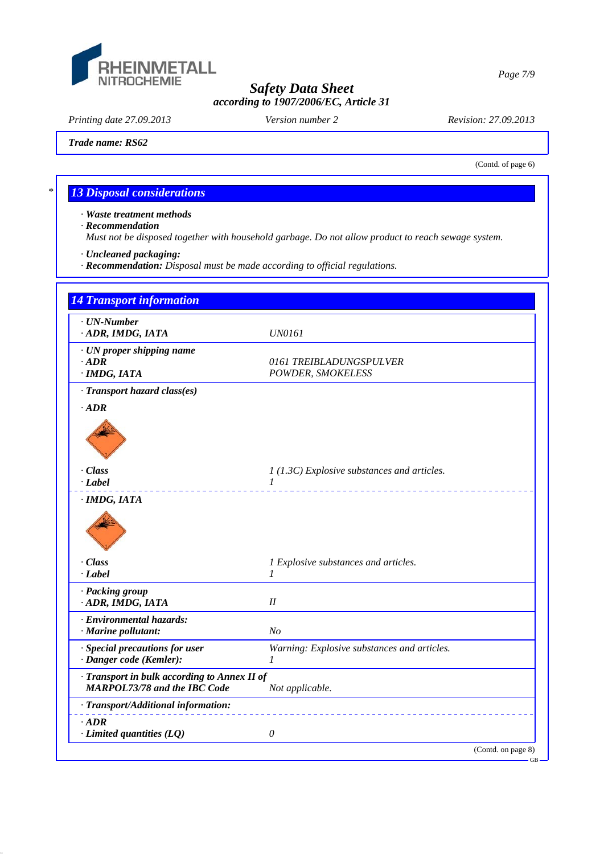

*Printing date 27.09.2013 Revision: 27.09.2013 Version number 2*

*Trade name: RS62*

(Contd. of page 6)

GB

# *\* 13 Disposal considerations*

*· Waste treatment methods*

*· Recommendation*

*Must not be disposed together with household garbage. Do not allow product to reach sewage system.*

*· Uncleaned packaging:*

*· Recommendation: Disposal must be made according to official regulations.*

| $\cdot$ UN-Number<br>· ADR, IMDG, IATA                                              | <i>UN0161</i>                                               |  |
|-------------------------------------------------------------------------------------|-------------------------------------------------------------|--|
| · UN proper shipping name<br>$\cdot$ ADR<br>· IMDG, IATA                            | 0161 TREIBLADUNGSPULVER<br>POWDER, SMOKELESS                |  |
| · Transport hazard class(es)                                                        |                                                             |  |
| $\cdot$ ADR                                                                         |                                                             |  |
|                                                                                     |                                                             |  |
| · Class<br>$\cdot$ <i>Label</i>                                                     | 1 (1.3C) Explosive substances and articles.<br>$\mathcal I$ |  |
| · IMDG, IATA                                                                        |                                                             |  |
|                                                                                     |                                                             |  |
| $\cdot$ Class                                                                       | 1 Explosive substances and articles.                        |  |
| $-Label$                                                                            | 1                                                           |  |
| · Packing group<br>· ADR, IMDG, IATA                                                | I                                                           |  |
| · Environmental hazards:<br>· Marine pollutant:                                     | No                                                          |  |
| · Special precautions for user<br>· Danger code (Kemler):                           | Warning: Explosive substances and articles.<br>$\prime$     |  |
| · Transport in bulk according to Annex II of<br><b>MARPOL73/78 and the IBC Code</b> | Not applicable.                                             |  |
| · Transport/Additional information:                                                 |                                                             |  |
| $-ADR$<br>$\cdot$ Limited quantities (LQ)                                           | $\theta$                                                    |  |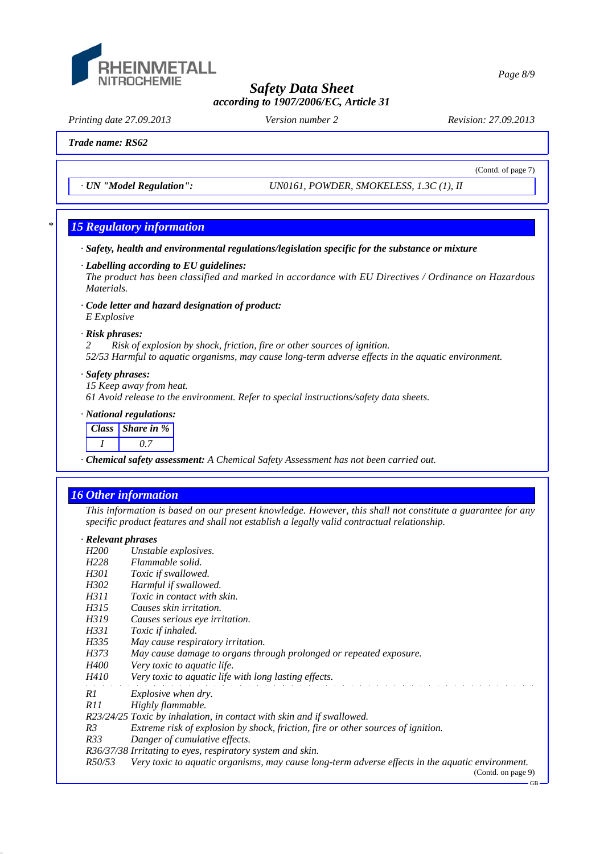

*Printing date 27.09.2013 Revision: 27.09.2013 Version number 2*

(Contd. of page 7)

#### *Trade name: RS62*

*· UN "Model Regulation": UN0161, POWDER, SMOKELESS, 1.3C (1), II*

## *\* 15 Regulatory information*

*· Safety, health and environmental regulations/legislation specific for the substance or mixture*

*· Labelling according to EU guidelines:*

*The product has been classified and marked in accordance with EU Directives / Ordinance on Hazardous Materials.*

*· Code letter and hazard designation of product: E Explosive*

#### *· Risk phrases:*

*2 Risk of explosion by shock, friction, fire or other sources of ignition. 52/53 Harmful to aquatic organisms, may cause long-term adverse effects in the aquatic environment.*

#### *· Safety phrases:*

*15 Keep away from heat.*

*61 Avoid release to the environment. Refer to special instructions/safety data sheets.*

*· National regulations:*



*· Chemical safety assessment: A Chemical Safety Assessment has not been carried out.*

## *16 Other information*

*This information is based on our present knowledge. However, this shall not constitute a guarantee for any specific product features and shall not establish a legally valid contractual relationship.*

# *· Relevant phrases*

- *Unstable explosives.*
- *H228 Flammable solid.*
- *H301 Toxic if swallowed.*
- *H302 Harmful if swallowed.*
- *H311 Toxic in contact with skin.*
- *H315 Causes skin irritation.*
- *H319 Causes serious eye irritation.*
- *H331 Toxic if inhaled.*
- *H335 May cause respiratory irritation.*
- *H373 May cause damage to organs through prolonged or repeated exposure.*
- *H400 Very toxic to aquatic life.*
- *H410 Very toxic to aquatic life with long lasting effects.*
- *R1 Explosive when dry.*
- 
- *R11 Highly flammable.*
- *R23/24/25 Toxic by inhalation, in contact with skin and if swallowed.*
- *R3 Extreme risk of explosion by shock, friction, fire or other sources of ignition.*
- *R33 Danger of cumulative effects.*
- *R36/37/38 Irritating to eyes, respiratory system and skin.*

*R50/53 Very toxic to aquatic organisms, may cause long-term adverse effects in the aquatic environment.*

(Contd. on page 9) GB

#### *Page 8/9*